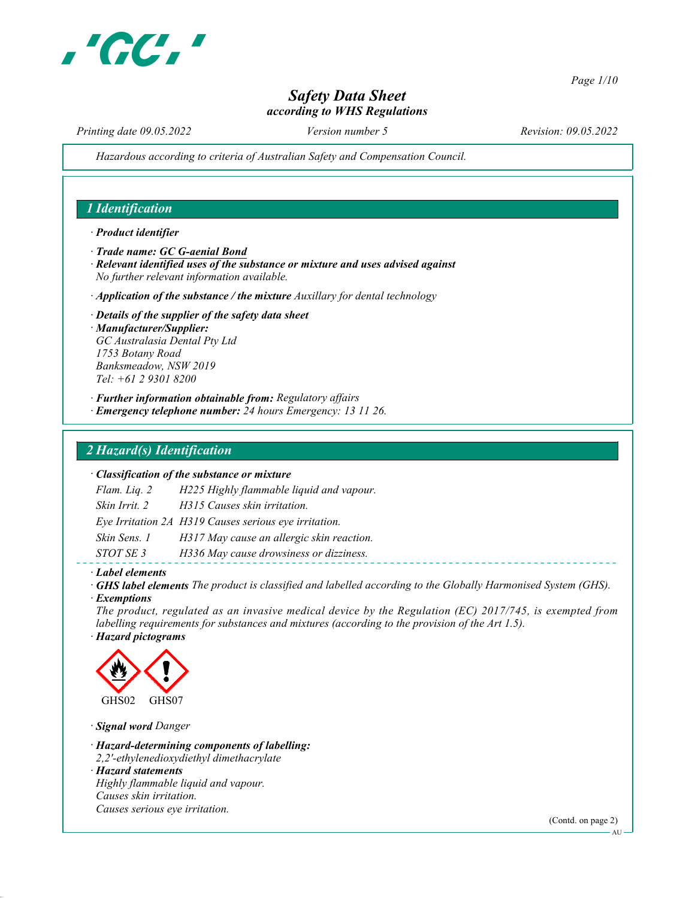

Page 1/10

# Safety Data Sheet according to WHS Regulations

Printing date 09.05.2022 Version number 5 Revision: 09.05.2022

Hazardous according to criteria of Australian Safety and Compensation Council.

## 1 Identification

#### · Product identifier

- · Trade name: GC G-aenial Bond
- $\cdot$  Relevant identified uses of the substance or mixture and uses advised against No further relevant information available.
- $\cdot$  Application of the substance / the mixture Auxillary for dental technology
- · Details of the supplier of the safety data sheet · Manufacturer/Supplier: GC Australasia Dental Pty Ltd 1753 Botany Road Banksmeadow, NSW 2019 Tel: +61 2 9301 8200
- · Further information obtainable from: Regulatory affairs
- · Emergency telephone number: 24 hours Emergency: 13 11 26.

### 2 Hazard(s) Identification

#### · Classification of the substance or mixture

Flam. Liq. 2 H225 Highly flammable liquid and vapour. Skin Irrit. 2 H315 Causes skin irritation. Eye Irritation 2A H319 Causes serious eye irritation. Skin Sens. 1 H317 May cause an allergic skin reaction. STOT SE 3 H336 May cause drowsiness or dizziness.

#### · Label elements

- · GHS label elements The product is classified and labelled according to the Globally Harmonised System (GHS).
- · Exemptions

The product, regulated as an invasive medical device by the Regulation (EC) 2017/745, is exempted from labelling requirements for substances and mixtures (according to the provision of the Art 1.5). · Hazard pictograms



· Signal word Danger

· Hazard-determining components of labelling:

2,2'-ethylenedioxydiethyl dimethacrylate

· Hazard statements Highly flammable liquid and vapour. Causes skin irritation. Causes serious eye irritation.

(Contd. on page 2)

AU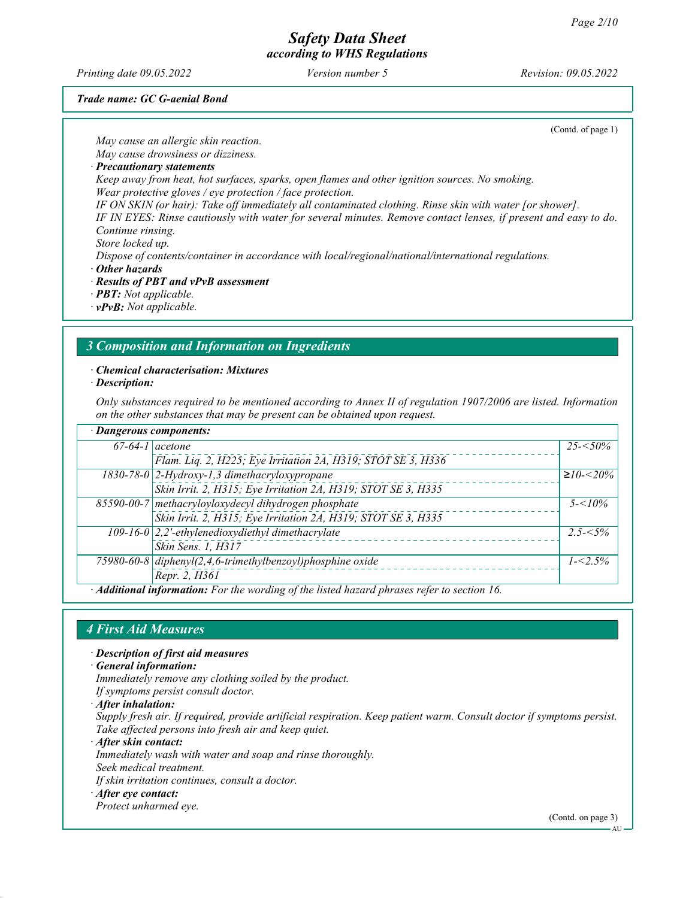Printing date 09.05.2022 Version number 5 Revision: 09.05.2022

Trade name: GC G-aenial Bond

(Contd. of page 1)

May cause an allergic skin reaction. May cause drowsiness or dizziness. · Precautionary statements Keep away from heat, hot surfaces, sparks, open flames and other ignition sources. No smoking. Wear protective gloves / eye protection / face protection. IF ON SKIN (or hair): Take off immediately all contaminated clothing. Rinse skin with water [or shower]. IF IN EYES: Rinse cautiously with water for several minutes. Remove contact lenses, if present and easy to do. Continue rinsing. Store locked up. Dispose of contents/container in accordance with local/regional/national/international regulations. · Other hazards · Results of PBT and vPvB assessment · PBT: Not applicable.

· vPvB: Not applicable.

# 3 Composition and Information on Ingredients

#### · Chemical characterisation: Mixtures

· Description:

Only substances required to be mentioned according to Annex II of regulation 1907/2006 are listed. Information on the other substances that may be present can be obtained upon request.

| · Dangerous components: |                                                                                             |                |
|-------------------------|---------------------------------------------------------------------------------------------|----------------|
|                         | $67-64-1$ acetone                                                                           | $25 - 50\%$    |
|                         | Flam. Liq. 2, H225; Eye Irritation 2A, H319; STOT SE 3, H336                                |                |
|                         | $1830-78-0$ 2-Hydroxy-1,3 dimethacryloxypropane                                             | $≥10$ - $≤20%$ |
|                         | Skin Irrit. 2, H315; Eye Irritation 2A, H319; STOT SE 3, H335                               |                |
|                         | 85590-00-7 methacryloyloxydecyl dihydrogen phosphate                                        | $5 - 10\%$     |
|                         | Skin Irrit. 2, H315; Eye Irritation 2A, H319; STOT SE 3, H335                               |                |
|                         | 109-16-0 $\left  2,2 \right\rangle$ -ethylenedioxydiethyl dimethacrylate                    | $2.5 - 5\%$    |
|                         | Skin Sens. 1, H317                                                                          |                |
|                         | 75980-60-8 diphenyl(2,4,6-trimethylbenzoyl)phosphine oxide                                  | $1 - 5\%$      |
|                         | Repr. 2, H361                                                                               |                |
|                         | · Additional information: For the wording of the listed hazard phrases refer to section 16. |                |

# 4 First Aid Measures

- · Description of first aid measures
- · General information:
- Immediately remove any clothing soiled by the product.
- If symptoms persist consult doctor.
- · After inhalation:

Supply fresh air. If required, provide artificial respiration. Keep patient warm. Consult doctor if symptoms persist. Take affected persons into fresh air and keep quiet.

· After skin contact:

- Immediately wash with water and soap and rinse thoroughly.
- Seek medical treatment.
- If skin irritation continues, consult a doctor.
- · After eye contact:
- Protect unharmed eye.

(Contd. on page 3)

AU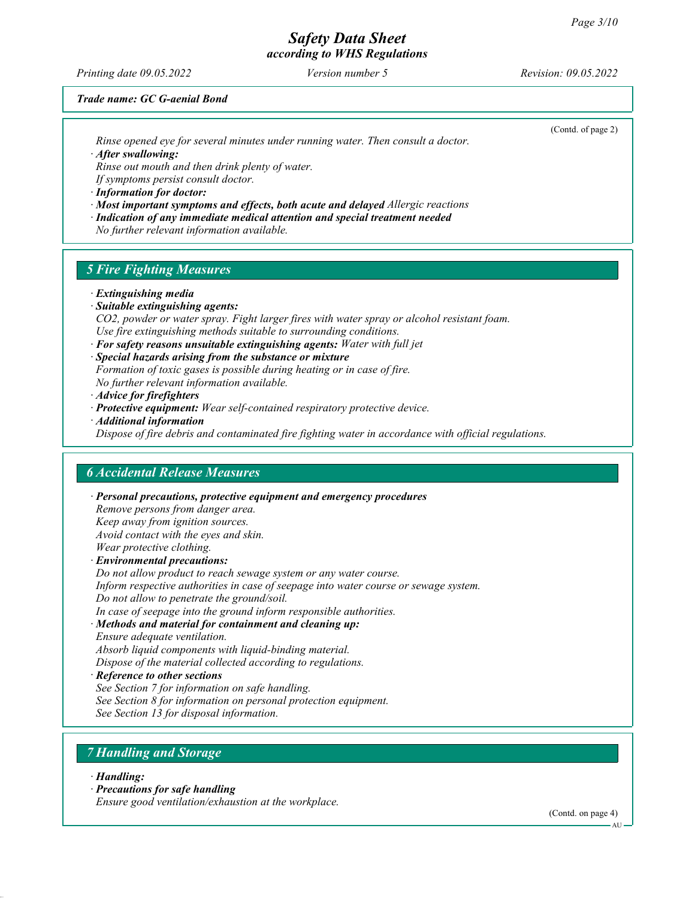Printing date 09.05.2022 Version number 5 Revision: 09.05.2022

(Contd. of page 2)

Trade name: GC G-aenial Bond

Rinse opened eye for several minutes under running water. Then consult a doctor.

· After swallowing:

Rinse out mouth and then drink plenty of water.

If symptoms persist consult doctor.

· Information for doctor:

- · Most important symptoms and effects, both acute and delayed Allergic reactions
- · Indication of any immediate medical attention and special treatment needed
- No further relevant information available.

#### 5 Fire Fighting Measures

- · Extinguishing media
- · Suitable extinguishing agents:
- CO2, powder or water spray. Fight larger fires with water spray or alcohol resistant foam. Use fire extinguishing methods suitable to surrounding conditions.
- $\cdot$  For safety reasons unsuitable extinguishing agents: Water with full jet

· Special hazards arising from the substance or mixture Formation of toxic gases is possible during heating or in case of fire.

No further relevant information available.

- · Advice for firefighters
- · Protective equipment: Wear self-contained respiratory protective device.
- · Additional information

Dispose of fire debris and contaminated fire fighting water in accordance with official regulations.

#### 6 Accidental Release Measures

· Personal precautions, protective equipment and emergency procedures Remove persons from danger area. Keep away from ignition sources. Avoid contact with the eyes and skin. Wear protective clothing. · Environmental precautions: Do not allow product to reach sewage system or any water course. Inform respective authorities in case of seepage into water course or sewage system. Do not allow to penetrate the ground/soil. In case of seepage into the ground inform responsible authorities. · Methods and material for containment and cleaning up: Ensure adequate ventilation. Absorb liquid components with liquid-binding material. Dispose of the material collected according to regulations.

- · Reference to other sections See Section 7 for information on safe handling.
- See Section 8 for information on personal protection equipment.
- See Section 13 for disposal information.

#### 7 Handling and Storage

- · Handling:
- · Precautions for safe handling

Ensure good ventilation/exhaustion at the workplace.

(Contd. on page 4)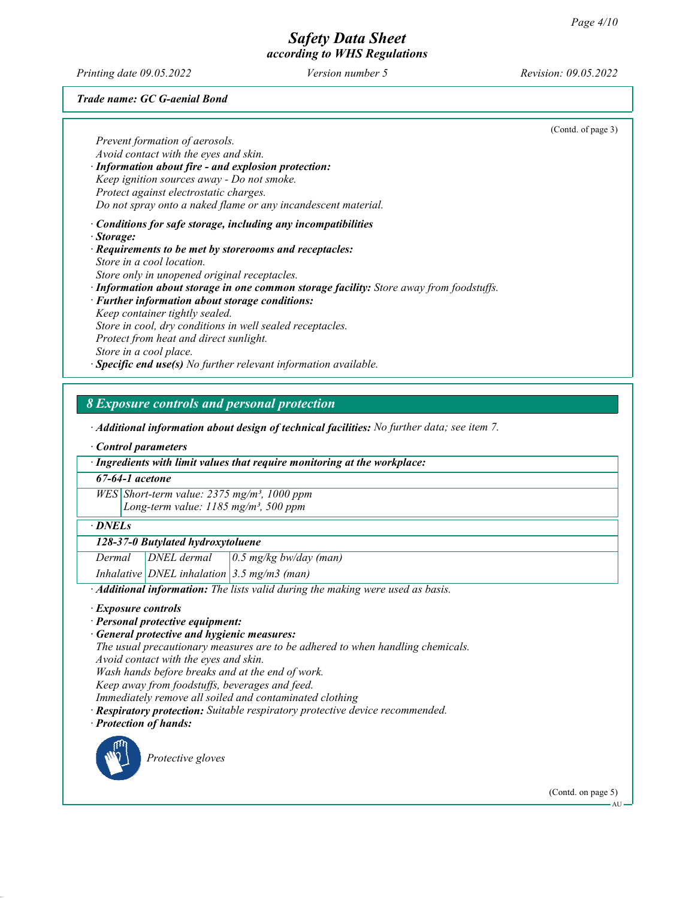Printing date 09.05.2022 Version number 5 Revision: 09.05.2022

Trade name: GC G-aenial Bond

(Contd. of page 3) Prevent formation of aerosols. Avoid contact with the eyes and skin. · Information about fire - and explosion protection: Keep ignition sources away - Do not smoke. Protect against electrostatic charges. Do not spray onto a naked flame or any incandescent material. · Conditions for safe storage, including any incompatibilities · Storage: · Requirements to be met by storerooms and receptacles: Store in a cool location. Store only in unopened original receptacles. · Information about storage in one common storage facility: Store away from foodstuffs. · Further information about storage conditions: Keep container tightly sealed. Store in cool, dry conditions in well sealed receptacles. Protect from heat and direct sunlight. Store in a cool place.  $\cdot$  Specific end use(s) No further relevant information available.

8 Exposure controls and personal protection

· Additional information about design of technical facilities: No further data; see item 7.

· Control parameters

· Ingredients with limit values that require monitoring at the workplace:

67-64-1 acetone

 $WES$  Short-term value: 2375 mg/m<sup>3</sup>, 1000 ppm

Long-term value:  $1185$  mg/m<sup>3</sup>, 500 ppm

· DNELs

#### 128-37-0 Butylated hydroxytoluene

Dermal  $DNEL$  dermal  $0.5$  mg/kg bw/day (man)

Inhalative DNEL inhalation  $3.5$  mg/m3 (man)

· Additional information: The lists valid during the making were used as basis.

- · Exposure controls
- · Personal protective equipment:
- General protective and hygienic measures:

The usual precautionary measures are to be adhered to when handling chemicals.

Avoid contact with the eyes and skin.

Wash hands before breaks and at the end of work.

Keep away from foodstuffs, beverages and feed.

Immediately remove all soiled and contaminated clothing

· Respiratory protection: Suitable respiratory protective device recommended.

· Protection of hands:



Protective gloves

(Contd. on page 5)

AU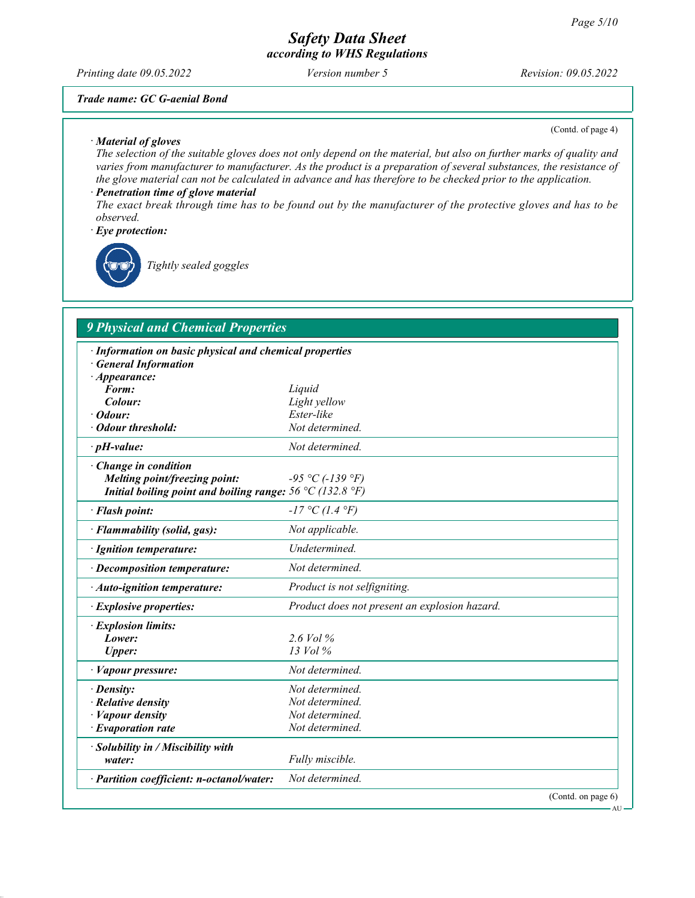Printing date 09.05.2022 Version number 5 Revision: 09.05.2022

#### Trade name: GC G-aenial Bond

· Material of gloves

(Contd. of page 4)

The selection of the suitable gloves does not only depend on the material, but also on further marks of quality and varies from manufacturer to manufacturer. As the product is a preparation of several substances, the resistance of the glove material can not be calculated in advance and has therefore to be checked prior to the application.

· Penetration time of glove material The exact break through time has to be found out by the manufacturer of the protective gloves and has to be observed.

· Eye protection:



Tightly sealed goggles

# 9 Physical and Chemical Properties

| · Information on basic physical and chemical properties<br>· General Information                                          |                                               |
|---------------------------------------------------------------------------------------------------------------------------|-----------------------------------------------|
| $\cdot$ Appearance:                                                                                                       |                                               |
| Form:                                                                                                                     | Liquid                                        |
| Colour:                                                                                                                   | Light yellow                                  |
| $\cdot$ Odour:                                                                                                            | Ester-like                                    |
| · Odour threshold:                                                                                                        | Not determined.                               |
| $\cdot$ pH-value:                                                                                                         | Not determined.                               |
| $\cdot$ Change in condition<br>Melting point/freezing point:<br>Initial boiling point and boiling range: 56 °C (132.8 °F) | $-95 °C (-139 °F)$                            |
| · Flash point:                                                                                                            | $-17 °C (1.4 °F)$                             |
| · Flammability (solid, gas):                                                                                              | Not applicable.                               |
| · Ignition temperature:                                                                                                   | Undetermined.                                 |
| · Decomposition temperature:                                                                                              | Not determined.                               |
| · Auto-ignition temperature:                                                                                              | Product is not selfigniting.                  |
| · Explosive properties:                                                                                                   | Product does not present an explosion hazard. |
| · Explosion limits:                                                                                                       |                                               |
| Lower:                                                                                                                    | $2.6$ Vol $\%$                                |
| <b>Upper:</b>                                                                                                             | $13$ Vol $\%$                                 |
| · Vapour pressure:                                                                                                        | Not determined.                               |
| $\cdot$ Density:                                                                                                          | Not determined.                               |
| $\cdot$ Relative density                                                                                                  | Not determined.                               |
| · Vapour density                                                                                                          | Not determined.                               |
| $\cdot$ Evaporation rate                                                                                                  | Not determined.                               |
| · Solubility in / Miscibility with<br>water:                                                                              | Fully miscible.                               |
| · Partition coefficient: n-octanol/water:                                                                                 | Not determined.                               |
|                                                                                                                           | (Contd. on page 6)                            |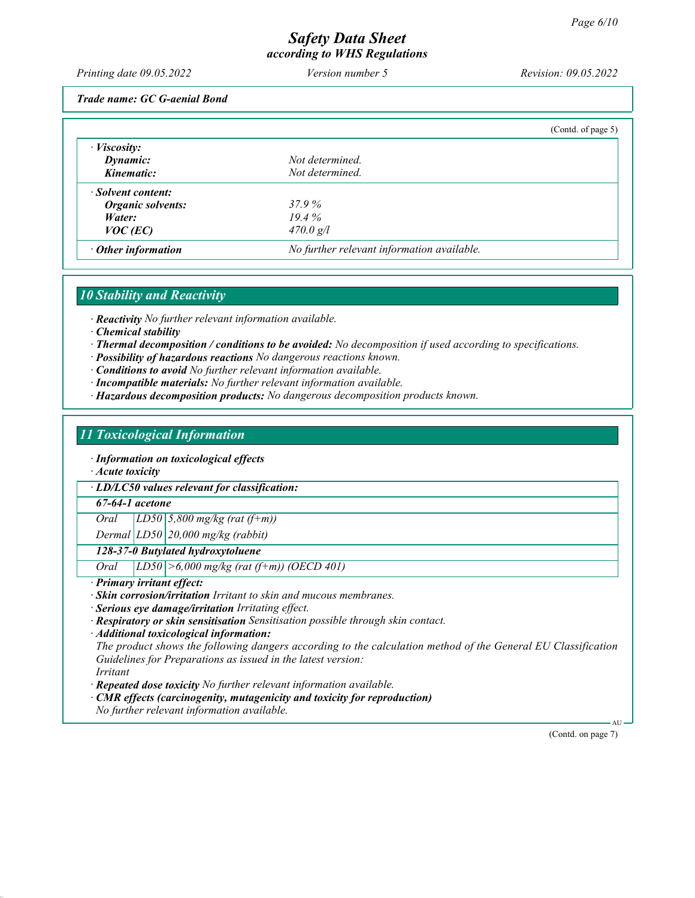Printing date 09.05.2022 Version number 5 Revision: 09.05.2022

Trade name: GC G-aenial Bond

|                           |                                            | (Cond. of page 5) |
|---------------------------|--------------------------------------------|-------------------|
| $\cdot$ <i>Viscosity:</i> |                                            |                   |
| Dynamic:                  | Not determined.                            |                   |
| Kinematic:                | Not determined.                            |                   |
| · Solvent content:        |                                            |                   |
| Organic solvents:         | 37.9 %                                     |                   |
| Water:                    | 19.4%                                      |                   |
| $VOC$ (EC)                | $470.0$ g/l                                |                   |
| $\cdot$ Other information | No further relevant information available. |                   |

#### 10 Stability and Reactivity

· Reactivity No further relevant information available.

- · Chemical stability
- · Thermal decomposition / conditions to be avoided: No decomposition if used according to specifications.
- · Possibility of hazardous reactions No dangerous reactions known.
- · Conditions to avoid No further relevant information available.
- · Incompatible materials: No further relevant information available.
- · Hazardous decomposition products: No dangerous decomposition products known.

#### 11 Toxicological Information

· Information on toxicological effects

· Acute toxicity

· LD/LC50 values relevant for classification:

67-64-1 acetone

Oral [LD50  $\frac{5,800 \text{ mg/kg}}{(\text{rat (f+m)})}$ 

Dermal  $|LD50|20,000$  mg/kg (rabbit)

#### 128-37-0 Butylated hydroxytoluene

Oral LD50 >6,000 mg/kg (rat (f+m)) (OECD 401)

· Primary irritant effect:

· Skin corrosion/irritation Irritant to skin and mucous membranes.

· Serious eye damage/irritation Irritating effect.

· Respiratory or skin sensitisation Sensitisation possible through skin contact.

· Additional toxicological information:

The product shows the following dangers according to the calculation method of the General EU Classification Guidelines for Preparations as issued in the latest version: Irritant

· Repeated dose toxicity No further relevant information available.

CMR effects (carcinogenity, mutagenicity and toxicity for reproduction)

No further relevant information available.

(Contd. on page 7)

AU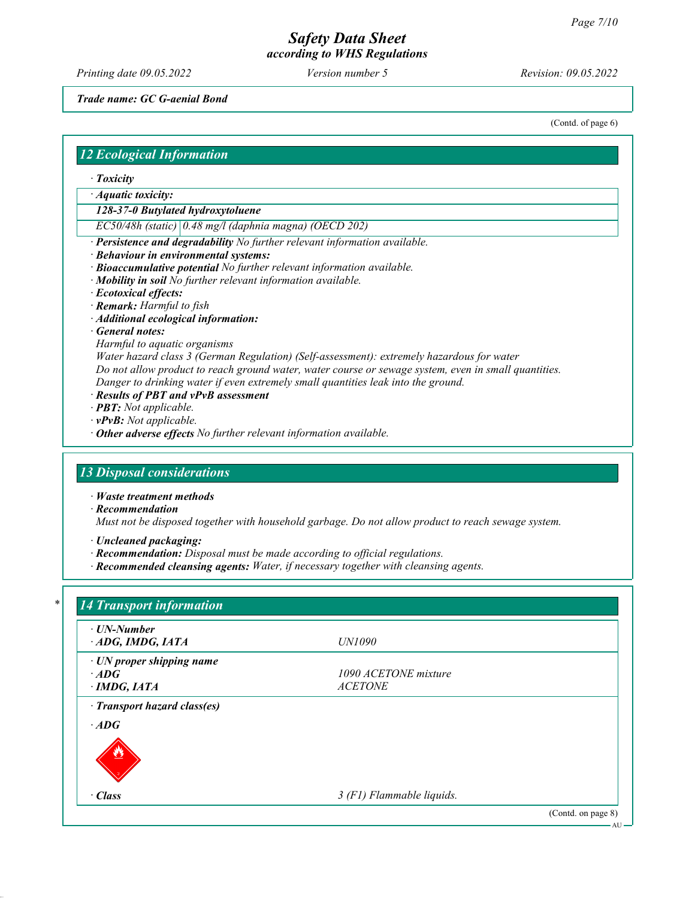Printing date 09.05.2022 Version number 5 Revision: 09.05.2022

Trade name: GC G-aenial Bond

(Contd. of page 6)

#### 12 Ecological Information

- · Toxicity
- · Aquatic toxicity:
- 128-37-0 Butylated hydroxytoluene
- EC50/48h (static) 0.48 mg/l (daphnia magna) (OECD 202)
- · Persistence and degradability No further relevant information available.
- · Behaviour in environmental systems:
- · Bioaccumulative potential No further relevant information available.
- · Mobility in soil No further relevant information available.
- · Ecotoxical effects:
- · Remark: Harmful to fish
- · Additional ecological information:
- · General notes:
- Harmful to aquatic organisms
- Water hazard class 3 (German Regulation) (Self-assessment): extremely hazardous for water
- Do not allow product to reach ground water, water course or sewage system, even in small quantities. Danger to drinking water if even extremely small quantities leak into the ground.
- · Results of PBT and vPvB assessment
- · PBT: Not applicable.
- · vPvB: Not applicable.
- $\cdot$  Other adverse effects No further relevant information available.

#### 13 Disposal considerations

- · Waste treatment methods
- · Recommendation
- Must not be disposed together with household garbage. Do not allow product to reach sewage system.
- · Uncleaned packaging:
- · Recommendation: Disposal must be made according to official regulations.
- · Recommended cleansing agents: Water, if necessary together with cleansing agents.

| $\cdot$ UN-Number               |                      |  |
|---------------------------------|----------------------|--|
| $\cdot$ ADG, IMDG, IATA         | UN1090               |  |
| $\cdot$ UN proper shipping name |                      |  |
| $\cdot$ ADG                     | 1090 ACETONE mixture |  |
| $\cdot$ IMDG, IATA              | <b>ACETONE</b>       |  |
| · Transport hazard class(es)    |                      |  |
| $\cdot$ ADG                     |                      |  |
|                                 |                      |  |
|                                 |                      |  |
|                                 |                      |  |
|                                 |                      |  |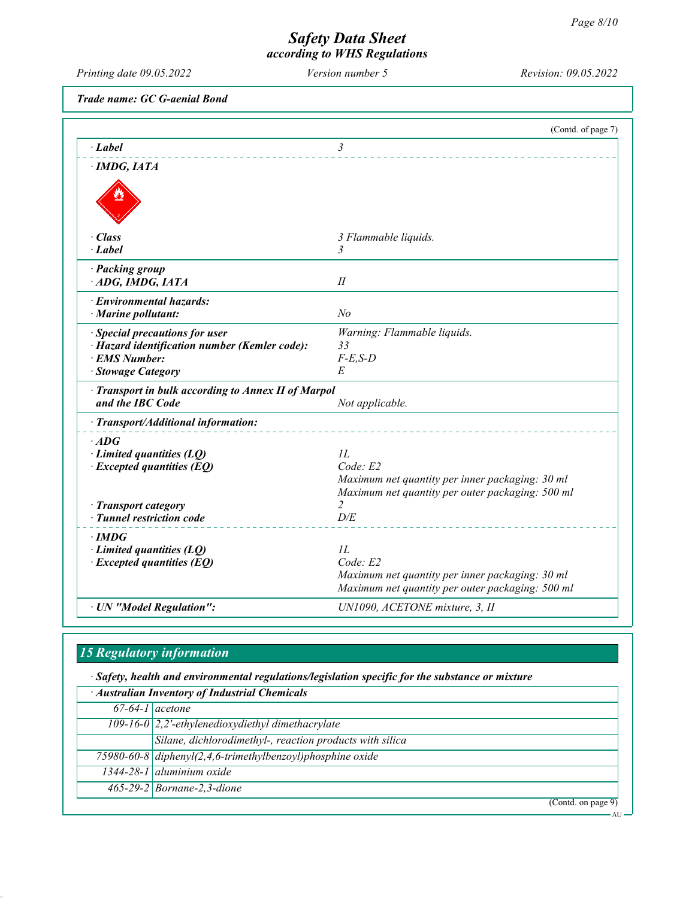$- AU -$ 

# Safety Data Sheet according to WHS Regulations

Printing date 09.05.2022 Version number 5 Revision: 09.05.2022

Trade name: GC G-aenial Bond

|                                                     | (Contd. of page 7)                                    |
|-----------------------------------------------------|-------------------------------------------------------|
| $\cdot$ Label                                       | $\mathfrak{Z}$                                        |
| $\cdot$ IMDG, IATA                                  |                                                       |
|                                                     |                                                       |
|                                                     |                                                       |
|                                                     |                                                       |
| · Class                                             | 3 Flammable liquids.                                  |
| $\cdot$ Label                                       | $\mathfrak{Z}$                                        |
| · Packing group                                     |                                                       |
| ADG, IMDG, IATA                                     | $I\!I$                                                |
| · Environmental hazards:                            |                                                       |
| · Marine pollutant:                                 | No                                                    |
| · Special precautions for user                      | Warning: Flammable liquids.                           |
| · Hazard identification number (Kemler code):       | 33                                                    |
| · EMS Number:<br>· Stowage Category                 | $F-E,S-D$<br>E                                        |
| · Transport in bulk according to Annex II of Marpol |                                                       |
| and the IBC Code                                    | Not applicable.                                       |
| · Transport/Additional information:                 |                                                       |
| $\cdot$ ADG                                         |                                                       |
| $\cdot$ Limited quantities (LQ)                     | IL                                                    |
| $\cdot$ Excepted quantities (EQ)                    | Code: E2                                              |
|                                                     | Maximum net quantity per inner packaging: 30 ml       |
| · Transport category                                | Maximum net quantity per outer packaging: 500 ml<br>2 |
| · Tunnel restriction code                           | D/E                                                   |
| $\cdot$ IMDG                                        |                                                       |
| $\cdot$ Limited quantities (LQ)                     | IL                                                    |
| $\cdot$ Excepted quantities (EQ)                    | Code: E2                                              |
|                                                     | Maximum net quantity per inner packaging: 30 ml       |
|                                                     | Maximum net quantity per outer packaging: 500 ml      |
| · UN "Model Regulation":                            | UN1090, ACETONE mixture, 3, II                        |

# 15 Regulatory information

· Safety, health and environmental regulations/legislation specific for the substance or mixture

| · Australian Inventory of Industrial Chemicals |                                                              |
|------------------------------------------------|--------------------------------------------------------------|
| $\overline{67-64-1}$ acetone                   |                                                              |
|                                                | 109-16-0 $\sqrt{2}$ , 2'-ethylenedioxydiethyl dimethacrylate |
|                                                | Silane, dichlorodimethyl-, reaction products with silica     |
|                                                | 75980-60-8 diphenyl(2,4,6-trimethylbenzoyl)phosphine oxide   |
|                                                | $1344-28-1$ aluminium oxide                                  |
|                                                | $465-29-2$ Bornane-2, 3-dione                                |
|                                                | (Contd. on page 9)                                           |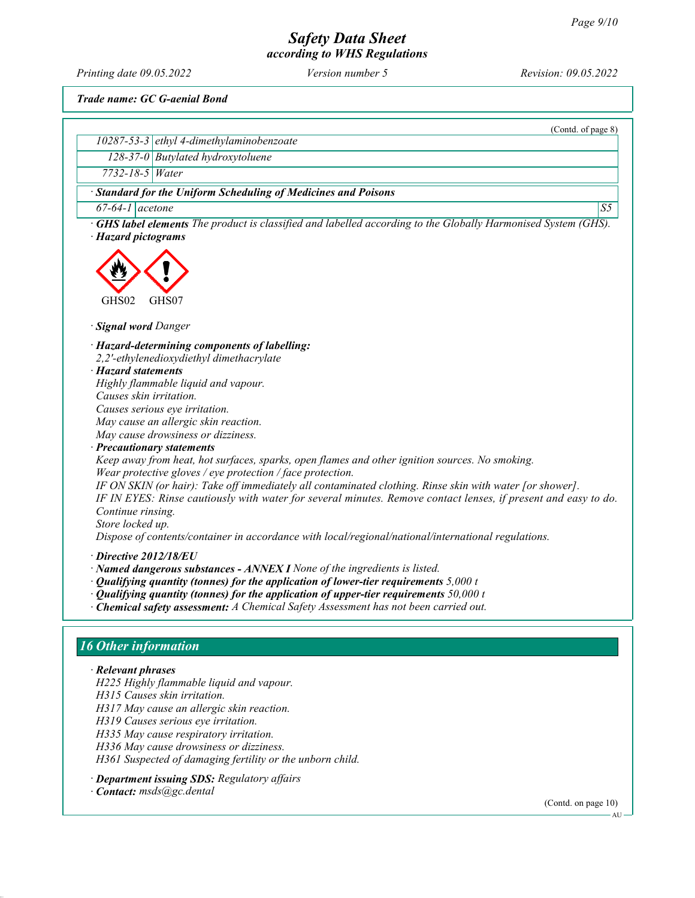Printing date 09.05.2022 Version number 5 Revision: 09.05.2022

(Contd. of page 8)

Trade name: GC G-aenial Bond

10287-53-3 ethyl 4-dimethylaminobenzoate 128-37-0 Butylated hydroxytoluene

| 7732-18-5 Water                                                                                                                                                                                                                                                                                                                                                                                                                                                                                                                                                                                                                                                                                                                                                                                                                                                                      |                |
|--------------------------------------------------------------------------------------------------------------------------------------------------------------------------------------------------------------------------------------------------------------------------------------------------------------------------------------------------------------------------------------------------------------------------------------------------------------------------------------------------------------------------------------------------------------------------------------------------------------------------------------------------------------------------------------------------------------------------------------------------------------------------------------------------------------------------------------------------------------------------------------|----------------|
| · Standard for the Uniform Scheduling of Medicines and Poisons                                                                                                                                                                                                                                                                                                                                                                                                                                                                                                                                                                                                                                                                                                                                                                                                                       |                |
| $\overline{67-64-1}$ acetone                                                                                                                                                                                                                                                                                                                                                                                                                                                                                                                                                                                                                                                                                                                                                                                                                                                         | S <sub>5</sub> |
| <b>GHS label elements</b> The product is classified and labelled according to the Globally Harmonised System (GHS).<br>· Hazard pictograms                                                                                                                                                                                                                                                                                                                                                                                                                                                                                                                                                                                                                                                                                                                                           |                |
| GHS02<br>GHS07                                                                                                                                                                                                                                                                                                                                                                                                                                                                                                                                                                                                                                                                                                                                                                                                                                                                       |                |
| · Signal word Danger                                                                                                                                                                                                                                                                                                                                                                                                                                                                                                                                                                                                                                                                                                                                                                                                                                                                 |                |
| · Hazard-determining components of labelling:<br>2,2'-ethylenedioxydiethyl dimethacrylate<br>$\cdot$ Hazard statements<br>Highly flammable liquid and vapour.<br>Causes skin irritation.<br>Causes serious eye irritation.<br>May cause an allergic skin reaction.<br>May cause drowsiness or dizziness.<br>· Precautionary statements<br>Keep away from heat, hot surfaces, sparks, open flames and other ignition sources. No smoking.<br>Wear protective gloves / eye protection / face protection.<br>IF ON SKIN (or hair): Take off immediately all contaminated clothing. Rinse skin with water [or shower].<br>IF IN EYES: Rinse cautiously with water for several minutes. Remove contact lenses, if present and easy to do.<br>Continue rinsing.<br>Store locked up.<br>Dispose of contents/container in accordance with local/regional/national/international regulations. |                |
| $\cdot$ Directive 2012/18/EU<br>· Named dangerous substances - ANNEX I None of the ingredients is listed.<br>$\cdot$ Qualifying quantity (tonnes) for the application of lower-tier requirements 5,000 t<br>$\cdot$ Qualifying quantity (tonnes) for the application of upper-tier requirements 50,000 t<br>· Chemical safety assessment: A Chemical Safety Assessment has not been carried out.                                                                                                                                                                                                                                                                                                                                                                                                                                                                                     |                |
| <b>16 Other information</b>                                                                                                                                                                                                                                                                                                                                                                                                                                                                                                                                                                                                                                                                                                                                                                                                                                                          |                |
| · Relevant phrases<br>H225 Highly flammable liquid and vapour.<br>H315 Causes skin irritation.<br>H317 May cause an allergic skin reaction.<br>H319 Causes serious eye irritation.<br>H335 May cause respiratory irritation.<br>H336 May cause drowsiness or dizziness.<br>H361 Suspected of damaging fertility or the unborn child.                                                                                                                                                                                                                                                                                                                                                                                                                                                                                                                                                 |                |

· Department issuing SDS: Regulatory affairs

· Contact: msds@gc.dental

(Contd. on page 10)  $-$  AU  $-$